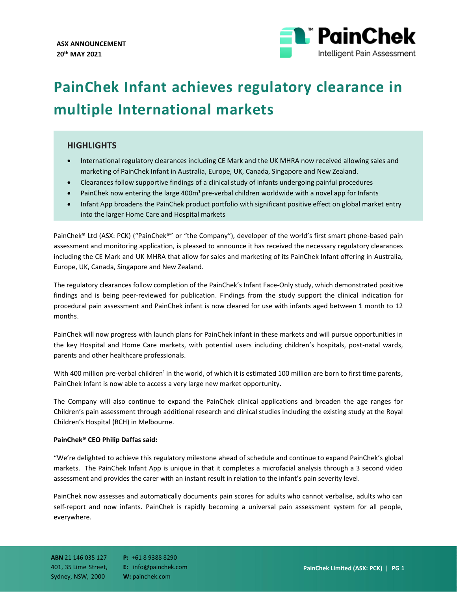

# **PainChek Infant achieves regulatory clearance in multiple International markets**

## **HIGHLIGHTS**

- International regulatory clearances including CE Mark and the UK MHRA now received allowing sales and marketing of PainChek Infant in Australia, Europe, UK, Canada, Singapore and New Zealand.
- Clearances follow supportive findings of a clinical study of infants undergoing painful procedures
- PainChek now entering the large 400m<sup>1</sup> pre-verbal children worldwide with a novel app for Infants
- Infant App broadens the PainChek product portfolio with significant positive effect on global market entry into the larger Home Care and Hospital markets

PainChek® Ltd (ASX: PCK) ("PainChek®" or "the Company"), developer of the world's first smart phone-based pain assessment and monitoring application, is pleased to announce it has received the necessary regulatory clearances including the CE Mark and UK MHRA that allow for sales and marketing of its PainChek Infant offering in Australia, Europe, UK, Canada, Singapore and New Zealand.

The regulatory clearances follow completion of the PainChek's Infant Face-Only study, which demonstrated positive findings and is being peer-reviewed for publication. Findings from the study support the clinical indication for procedural pain assessment and PainChek infant is now cleared for use with infants aged between 1 month to 12 months.

PainChek will now progress with launch plans for PainChek infant in these markets and will pursue opportunities in the key Hospital and Home Care markets, with potential users including children's hospitals, post-natal wards, parents and other healthcare professionals.

With 400 million pre-verbal children<sup>1</sup> in the world, of which it is estimated 100 million are born to first time parents, PainChek Infant is now able to access a very large new market opportunity.

The Company will also continue to expand the PainChek clinical applications and broaden the age ranges for Children's pain assessment through additional research and clinical studies including the existing study at the Royal Children's Hospital (RCH) in Melbourne.

### **PainChek® CEO Philip Daffas said:**

"We're delighted to achieve this regulatory milestone ahead of schedule and continue to expand PainChek's global markets. The PainChek Infant App is unique in that it completes a microfacial analysis through a 3 second video assessment and provides the carer with an instant result in relation to the infant's pain severity level.

PainChek now assesses and automatically documents pain scores for adults who cannot verbalise, adults who can self-report and now infants. PainChek is rapidly becoming a universal pain assessment system for all people, everywhere.

**ABN** 21 146 035 127 401, 35 Lime Street, Sydney, NSW, 2000

**P:** +61 8 9388 8290 **E:** info@painchek.com **W:** painchek.com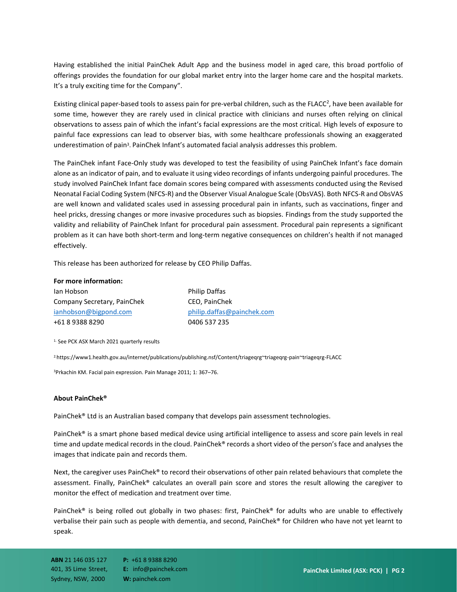Having established the initial PainChek Adult App and the business model in aged care, this broad portfolio of offerings provides the foundation for our global market entry into the larger home care and the hospital markets. It's a truly exciting time for the Company".

Existing clinical paper-based tools to assess pain for pre-verbal children, such as the FLACC<sup>2</sup>, have been available for some time, however they are rarely used in clinical practice with clinicians and nurses often relying on clinical observations to assess pain of which the infant's facial expressions are the most critical. High levels of exposure to painful face expressions can lead to observer bias, with some healthcare professionals showing an exaggerated underestimation of pain<sup>3</sup>. PainChek Infant's automated facial analysis addresses this problem.

The PainChek infant Face-Only study was developed to test the feasibility of using PainChek Infant's face domain alone as an indicator of pain, and to evaluate it using video recordings of infants undergoing painful procedures. The study involved PainChek Infant face domain scores being compared with assessments conducted using the Revised Neonatal Facial Coding System (NFCS-R) and the Observer Visual Analogue Scale (ObsVAS). Both NFCS-R and ObsVAS are well known and validated scales used in assessing procedural pain in infants, such as vaccinations, finger and heel pricks, dressing changes or more invasive procedures such as biopsies. Findings from the study supported the validity and reliability of PainChek Infant for procedural pain assessment. Procedural pain represents a significant problem as it can have both short-term and long-term negative consequences on children's health if not managed effectively.

This release has been authorized for release by CEO Philip Daffas.

#### **For more information:**

| lan Hobson                  | <b>Philip Daffas</b>       |
|-----------------------------|----------------------------|
| Company Secretary, PainChek | CEO, PainChek              |
| ianhobson@bigpond.com       | philip.daffas@painchek.com |
| +61 8 9388 8290             | 0406 537 235               |
|                             |                            |

<sup>1.</sup> See PCK ASX March 2021 quarterly results

2.https://www1.health.gov.au/internet/publications/publishing.nsf/Content/triageqrg~triageqrg-pain~triageqrg-FLACC

<sup>3</sup>Prkachin KM. Facial pain expression. Pain Manage 2011; 1: 367–76.

#### **About PainChek®**

PainChek® Ltd is an Australian based company that develops pain assessment technologies.

PainChek® is a smart phone based medical device using artificial intelligence to assess and score pain levels in real time and update medical records in the cloud. PainChek® records a short video of the person's face and analyses the images that indicate pain and records them.

Next, the caregiver uses PainChek® to record their observations of other pain related behaviours that complete the assessment. Finally, PainChek® calculates an overall pain score and stores the result allowing the caregiver to monitor the effect of medication and treatment over time.

PainChek® is being rolled out globally in two phases: first, PainChek® for adults who are unable to effectively verbalise their pain such as people with dementia, and second, PainChek® for Children who have not yet learnt to speak.

**ABN** 21 146 035 127 401, 35 Lime Street, Sydney, NSW, 2000

**P:** +61 8 9388 8290 **E:** info@painchek.com **W:** painchek.com